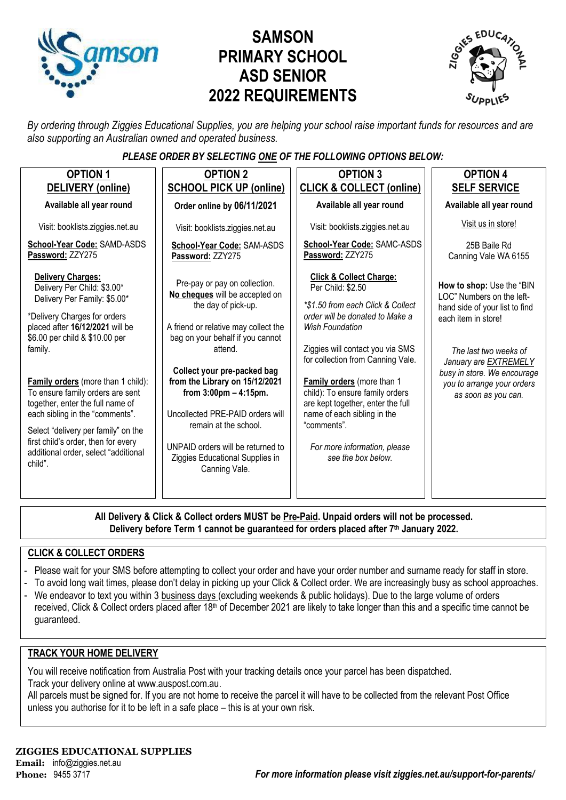

# **SAMSON PRIMARY SCHOOL ASD SENIOR 2022 REQUIREMENTS**



*By ordering through Ziggies Educational Supplies, you are helping your school raise important funds for resources and are also supporting an Australian owned and operated business.*

### *PLEASE ORDER BY SELECTING ONE OF THE FOLLOWING OPTIONS BELOW:*

| <b>OPTION 1</b><br>DELIVERY (online)                                                                                                                                                                                                                                                                                                                                                                                                                                                             | <b>OPTION 2</b><br><b>SCHOOL PICK UP (online)</b>                                                                                                                                                                                                                                                                                                                                                                                                | <b>OPTION 3</b><br><b>CLICK &amp; COLLECT (online)</b>                                                                                                                                                                                                                                                                                                                                                                                       | <b>OPTION 4</b><br><b>SELF SERVICE</b>                                                                                                                                                                                                                       |
|--------------------------------------------------------------------------------------------------------------------------------------------------------------------------------------------------------------------------------------------------------------------------------------------------------------------------------------------------------------------------------------------------------------------------------------------------------------------------------------------------|--------------------------------------------------------------------------------------------------------------------------------------------------------------------------------------------------------------------------------------------------------------------------------------------------------------------------------------------------------------------------------------------------------------------------------------------------|----------------------------------------------------------------------------------------------------------------------------------------------------------------------------------------------------------------------------------------------------------------------------------------------------------------------------------------------------------------------------------------------------------------------------------------------|--------------------------------------------------------------------------------------------------------------------------------------------------------------------------------------------------------------------------------------------------------------|
| Available all year round                                                                                                                                                                                                                                                                                                                                                                                                                                                                         | Order online by 06/11/2021                                                                                                                                                                                                                                                                                                                                                                                                                       | Available all year round                                                                                                                                                                                                                                                                                                                                                                                                                     | Available all year round                                                                                                                                                                                                                                     |
| Visit: booklists.ziggies.net.au                                                                                                                                                                                                                                                                                                                                                                                                                                                                  | Visit: booklists.ziggies.net.au                                                                                                                                                                                                                                                                                                                                                                                                                  | Visit: booklists.ziggies.net.au                                                                                                                                                                                                                                                                                                                                                                                                              | Visit us in store!                                                                                                                                                                                                                                           |
| School-Year Code: SAMD-ASDS<br>Password: ZZY275                                                                                                                                                                                                                                                                                                                                                                                                                                                  | School-Year Code: SAM-ASDS<br>Password: ZZY275                                                                                                                                                                                                                                                                                                                                                                                                   | School-Year Code: SAMC-ASDS<br>Password: ZZY275                                                                                                                                                                                                                                                                                                                                                                                              | 25B Baile Rd<br>Canning Vale WA 6155                                                                                                                                                                                                                         |
| <b>Delivery Charges:</b><br>Delivery Per Child: \$3.00*<br>Delivery Per Family: \$5.00*<br>*Delivery Charges for orders<br>placed after 16/12/2021 will be<br>\$6.00 per child & \$10.00 per<br>family.<br><b>Family orders</b> (more than 1 child):<br>To ensure family orders are sent<br>together, enter the full name of<br>each sibling in the "comments".<br>Select "delivery per family" on the<br>first child's order, then for every<br>additional order, select "additional<br>child". | Pre-pay or pay on collection.<br>No cheques will be accepted on<br>the day of pick-up.<br>A friend or relative may collect the<br>bag on your behalf if you cannot<br>attend.<br>Collect your pre-packed bag<br>from the Library on 15/12/2021<br>from $3:00 \text{pm} - 4:15 \text{pm}$ .<br>Uncollected PRE-PAID orders will<br>remain at the school.<br>UNPAID orders will be returned to<br>Ziggies Educational Supplies in<br>Canning Vale. | <b>Click &amp; Collect Charge:</b><br>Per Child: \$2.50<br>*\$1.50 from each Click & Collect<br>order will be donated to Make a<br><b>Wish Foundation</b><br>Ziggies will contact you via SMS<br>for collection from Canning Vale.<br>Family orders (more than 1<br>child): To ensure family orders<br>are kept together, enter the full<br>name of each sibling in the<br>"comments".<br>For more information, please<br>see the box below. | How to shop: Use the "BIN<br>LOC" Numbers on the left-<br>hand side of your list to find<br>each item in store!<br>The last two weeks of<br>January are <b>EXTREMELY</b><br>busy in store. We encourage<br>you to arrange your orders<br>as soon as you can. |

**All Delivery & Click & Collect orders MUST be Pre-Paid. Unpaid orders will not be processed. Delivery before Term 1 cannot be guaranteed for orders placed after 7th January 2022.**

#### **CLICK & COLLECT ORDERS**

- Please wait for your SMS before attempting to collect your order and have your order number and surname ready for staff in store.
- To avoid long wait times, please don't delay in picking up your Click & Collect order. We are increasingly busy as school approaches.
- We endeavor to text you within 3 business days (excluding weekends & public holidays). Due to the large volume of orders received, Click & Collect orders placed after 18<sup>th</sup> of December 2021 are likely to take longer than this and a specific time cannot be guaranteed.

#### **TRACK YOUR HOME DELIVERY**

You will receive notification from Australia Post with your tracking details once your parcel has been dispatched. Track your delivery online a[t www.auspost.com.au.](http://www.auspost.com.au/)

All parcels must be signed for. If you are not home to receive the parcel it will have to be collected from the relevant Post Office unless you authorise for it to be left in a safe place – this is at your own risk.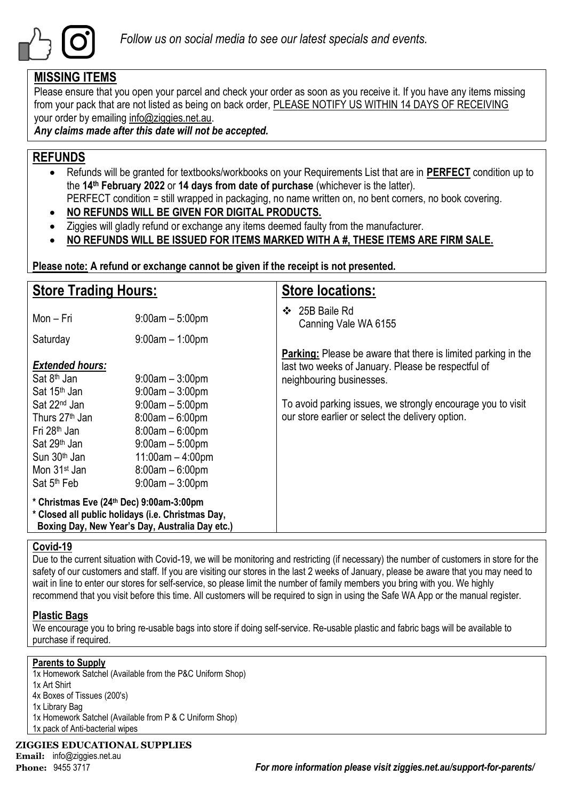

### **MISSING ITEMS**

Please ensure that you open your parcel and check your order as soon as you receive it. If you have any items missing from your pack that are not listed as being on back order, PLEASE NOTIFY US WITHIN 14 DAYS OF RECEIVING your order by emailing info@ziggies.net.au.

*Any claims made after this date will not be accepted.*

## **REFUNDS**

- Refunds will be granted for textbooks/workbooks on your Requirements List that are in **PERFECT** condition up to the **14th February 2022** or **14 days from date of purchase** (whichever is the latter). PERFECT condition = still wrapped in packaging, no name written on, no bent corners, no book covering.
- **NO REFUNDS WILL BE GIVEN FOR DIGITAL PRODUCTS.**
- Ziggies will gladly refund or exchange any items deemed faulty from the manufacturer.
- **NO REFUNDS WILL BE ISSUED FOR ITEMS MARKED WITH A #, THESE ITEMS ARE FIRM SALE.**

**Please note: A refund or exchange cannot be given if the receipt is not presented.**

| <b>Store Trading Hours:</b>                                                                                                                                                                                                                                                        |                                                                                                                                                                                                     | <b>Store locations:</b>                                                                                                                                                                                                                                                   |
|------------------------------------------------------------------------------------------------------------------------------------------------------------------------------------------------------------------------------------------------------------------------------------|-----------------------------------------------------------------------------------------------------------------------------------------------------------------------------------------------------|---------------------------------------------------------------------------------------------------------------------------------------------------------------------------------------------------------------------------------------------------------------------------|
| Mon – Fri                                                                                                                                                                                                                                                                          | $9:00$ am $-5:00$ pm                                                                                                                                                                                | 25B Baile Rd<br>$\bullet$<br>Canning Vale WA 6155                                                                                                                                                                                                                         |
| Saturday                                                                                                                                                                                                                                                                           | $9:00$ am $-1:00$ pm                                                                                                                                                                                |                                                                                                                                                                                                                                                                           |
| <b>Extended hours:</b><br>Sat 8 <sup>th</sup> Jan<br>Sat 15 <sup>th</sup> Jan<br>Sat 22 <sup>nd</sup> Jan<br>Thurs 27 <sup>th</sup> Jan<br>Fri 28 <sup>th</sup> Jan<br>Sat 29 <sup>th</sup> Jan<br>Sun 30 <sup>th</sup> Jan<br>Mon 31 <sup>st</sup> Jan<br>Sat 5 <sup>th</sup> Feb | $9:00$ am $-3:00$ pm<br>$9:00$ am $-3:00$ pm<br>$9:00$ am $-5:00$ pm<br>$8:00am - 6:00pm$<br>$8:00am - 6:00pm$<br>$9:00am - 5:00pm$<br>$11:00am - 4:00pm$<br>$8:00am - 6:00pm$<br>$9:00am - 3:00pm$ | <b>Parking:</b> Please be aware that there is limited parking in the<br>last two weeks of January. Please be respectful of<br>neighbouring businesses.<br>To avoid parking issues, we strongly encourage you to visit<br>our store earlier or select the delivery option. |
| * Christmas Eve (24th Dec) 9:00am-3:00pm<br>* Closed all public holidays (i.e. Christmas Day,<br>Boxing Day, New Year's Day, Australia Day etc.)                                                                                                                                   |                                                                                                                                                                                                     |                                                                                                                                                                                                                                                                           |

### **Covid-19**

Due to the current situation with Covid-19, we will be monitoring and restricting (if necessary) the number of customers in store for the safety of our customers and staff. If you are visiting our stores in the last 2 weeks of January, please be aware that you may need to wait in line to enter our stores for self-service, so please limit the number of family members you bring with you. We highly recommend that you visit before this time. All customers will be required to sign in using the Safe WA App or the manual register.

### **Plastic Bags**

We encourage you to bring re-usable bags into store if doing self-service. Re-usable plastic and fabric bags will be available to purchase if required.

#### **Parents to Supply**

1x Homework Satchel (Available from the P&C Uniform Shop) 1x Art Shirt 4x Boxes of Tissues (200's) 1x Library Bag 1x Homework Satchel (Available from P & C Uniform Shop) 1x pack of Anti-bacterial wipes

#### **ZIGGIES EDUCATIONAL SUPPLIES**

**Email:** info@ziggies.net.au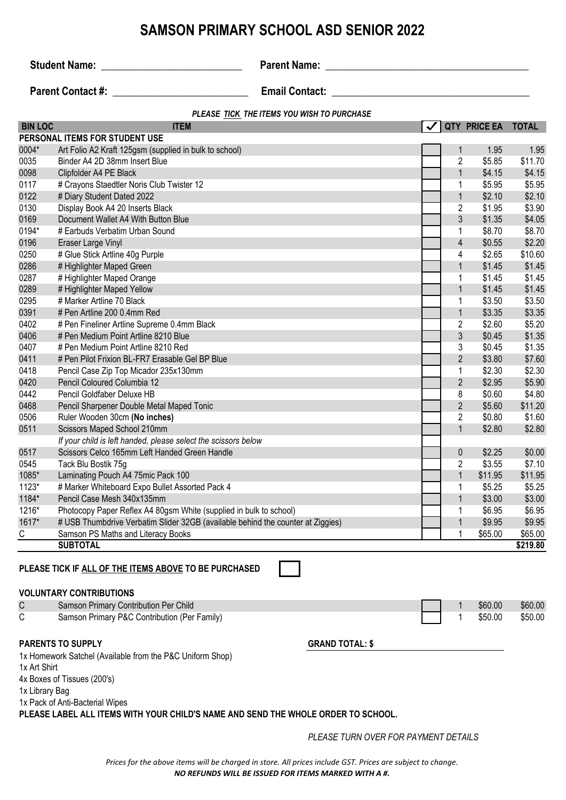## **SAMSON PRIMARY SCHOOL ASD SENIOR 2022**

**Student Name:** \_\_\_\_\_\_\_\_\_\_\_\_\_\_\_\_\_\_\_\_\_\_\_\_\_\_\_ **Parent Name: \_\_\_\_\_\_\_\_\_\_\_\_\_\_\_\_\_\_\_\_\_\_\_\_\_\_\_\_\_\_\_\_\_\_\_\_\_\_\_**

**Parent Contact #:**  $\qquad \qquad$  **Email Contact:**  $\qquad \qquad$ 

#### *PLEASE TICK THE ITEMS YOU WISH TO PURCHASE*

| <b>BIN LOC</b> | <b>ITEM</b>                                                                                                                              |                        |                             | QTY PRICE EA TOTAL |                   |
|----------------|------------------------------------------------------------------------------------------------------------------------------------------|------------------------|-----------------------------|--------------------|-------------------|
|                | PERSONAL ITEMS FOR STUDENT USE                                                                                                           |                        |                             |                    |                   |
| 0004*          | Art Folio A2 Kraft 125gsm (supplied in bulk to school)                                                                                   |                        | $\mathbf 1$                 | 1.95               | 1.95              |
| 0035           | Binder A4 2D 38mm Insert Blue                                                                                                            |                        | $\overline{c}$              | \$5.85             | \$11.70           |
| 0098           | Clipfolder A4 PE Black                                                                                                                   |                        | $\mathbf{1}$                | \$4.15             | \$4.15            |
| 0117           | # Crayons Staedtler Noris Club Twister 12                                                                                                |                        | 1                           | \$5.95             | \$5.95            |
| 0122           | # Diary Student Dated 2022                                                                                                               |                        | $\mathbf{1}$                | \$2.10             | \$2.10            |
| 0130           | Display Book A4 20 Inserts Black                                                                                                         |                        | $\overline{c}$              | \$1.95             | \$3.90            |
| 0169           | Document Wallet A4 With Button Blue                                                                                                      |                        | $\mathfrak{Z}$              | \$1.35             | \$4.05            |
| 0194*          | # Earbuds Verbatim Urban Sound                                                                                                           |                        | $\mathbf 1$                 | \$8.70             | \$8.70            |
| 0196           | Eraser Large Vinyl                                                                                                                       |                        | 4                           | \$0.55             | \$2.20            |
| 0250           | # Glue Stick Artline 40g Purple                                                                                                          |                        | 4                           | \$2.65             | \$10.60           |
| 0286           | # Highlighter Maped Green                                                                                                                |                        | $\mathbf{1}$                | \$1.45             | \$1.45            |
| 0287           | # Highlighter Maped Orange                                                                                                               |                        | 1                           | \$1.45             | \$1.45            |
| 0289           | # Highlighter Maped Yellow                                                                                                               |                        | 1                           | \$1.45             | \$1.45            |
| 0295           | # Marker Artline 70 Black                                                                                                                |                        | 1                           | \$3.50             | \$3.50            |
| 0391           | # Pen Artline 200 0.4mm Red                                                                                                              |                        | $\mathbf{1}$                | \$3.35             | \$3.35            |
| 0402           | # Pen Fineliner Artline Supreme 0.4mm Black                                                                                              |                        | 2                           | \$2.60             | \$5.20            |
| 0406           | # Pen Medium Point Artline 8210 Blue                                                                                                     |                        | $\mathfrak{Z}$              | \$0.45             | \$1.35            |
| 0407           | # Pen Medium Point Artline 8210 Red                                                                                                      |                        | 3                           | \$0.45             | \$1.35            |
| 0411           | # Pen Pilot Frixion BL-FR7 Erasable Gel BP Blue                                                                                          |                        | $\overline{2}$              | \$3.80             | \$7.60            |
| 0418           | Pencil Case Zip Top Micador 235x130mm                                                                                                    |                        | 1                           | \$2.30             | \$2.30            |
| 0420           | Pencil Coloured Columbia 12                                                                                                              |                        | $\overline{2}$              | \$2.95             | \$5.90            |
| 0442           | Pencil Goldfaber Deluxe HB                                                                                                               |                        | 8                           | \$0.60             | \$4.80            |
| 0468           | Pencil Sharpener Double Metal Maped Tonic                                                                                                |                        | $\overline{2}$              | \$5.60             | \$11.20           |
| 0506           | Ruler Wooden 30cm (No inches)                                                                                                            |                        | $\overline{c}$              | \$0.80             | \$1.60            |
| 0511           | Scissors Maped School 210mm                                                                                                              |                        | $\mathbf{1}$                | \$2.80             | \$2.80            |
|                | If your child is left handed, please select the scissors below                                                                           |                        |                             |                    |                   |
| 0517           | Scissors Celco 165mm Left Handed Green Handle                                                                                            |                        | $\pmb{0}$<br>$\overline{c}$ | \$2.25<br>\$3.55   | \$0.00            |
| 0545<br>1085*  | Tack Blu Bostik 75g<br>Laminating Pouch A4 75mic Pack 100                                                                                |                        | $\mathbf{1}$                | \$11.95            | \$7.10<br>\$11.95 |
| 1123*          |                                                                                                                                          |                        |                             | \$5.25             | \$5.25            |
| 1184*          | # Marker Whiteboard Expo Bullet Assorted Pack 4<br>Pencil Case Mesh 340x135mm                                                            |                        | 1<br>$\mathbf{1}$           | \$3.00             | \$3.00            |
| 1216*          | Photocopy Paper Reflex A4 80gsm White (supplied in bulk to school)                                                                       |                        | 1                           | \$6.95             | \$6.95            |
| 1617*          | # USB Thumbdrive Verbatim Slider 32GB (available behind the counter at Ziggies)                                                          |                        | $\mathbf{1}$                | \$9.95             | \$9.95            |
| С              | Samson PS Maths and Literacy Books                                                                                                       |                        | 1                           | \$65.00            | \$65.00           |
|                | <b>SUBTOTAL</b>                                                                                                                          |                        |                             |                    | \$219.80          |
|                |                                                                                                                                          |                        |                             |                    |                   |
|                | PLEASE TICK IF ALL OF THE ITEMS ABOVE TO BE PURCHASED<br><b>VOLUNTARY CONTRIBUTIONS</b>                                                  |                        |                             |                    |                   |
| C              | Samson Primary Contribution Per Child                                                                                                    |                        | 1                           | \$60.00            | \$60.00           |
|                |                                                                                                                                          |                        |                             |                    | \$50.00           |
|                |                                                                                                                                          |                        |                             |                    |                   |
|                | <b>PARENTS TO SUPPLY</b>                                                                                                                 | <b>GRAND TOTAL: \$</b> |                             |                    |                   |
| 1x Art Shirt   |                                                                                                                                          |                        |                             |                    |                   |
| C              | Samson Primary P&C Contribution (Per Family)<br>1x Homework Satchel (Available from the P&C Uniform Shop)<br>4x Boxes of Tissues (200's) |                        | 1                           | \$50.00            |                   |

1x Library Bag

1x Pack of Anti-Bacterial Wipes

**PLEASE LABEL ALL ITEMS WITH YOUR CHILD'S NAME AND SEND THE WHOLE ORDER TO SCHOOL.**

*PLEASE TURN OVER FOR PAYMENT DETAILS*